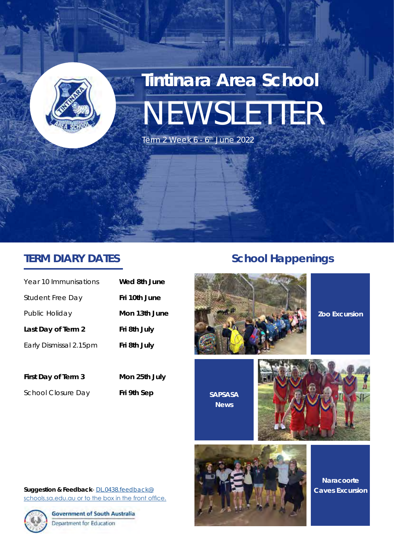

# **Tintinara Area School** NEWSLETTER

Term 2 Week  $6 - 6$ <sup>th</sup> June 2022

#### **TERM DIARY DATES**

| Year 10 Immunisations   | Wed 8th June  |
|-------------------------|---------------|
| <b>Student Free Day</b> | Fri 10th June |
| Public Holiday          | Mon 13th June |
| Last Day of Term 2      | Fri 8th July  |
| Early Dismissal 2.15pm  | Fri 8th July  |
|                         |               |

**First Day of Term 3 Mon 25th July**

School Closure Day Fri 9th Sep

#### *School Happenings*





**SAPSASA News**



**Suggestion & Feedback**- DL.0438.feedback@ schools.sa.edu.au or to the box in the front office.



**Government of South Australia** Department for Education



**Naracoorte Caves Excursion**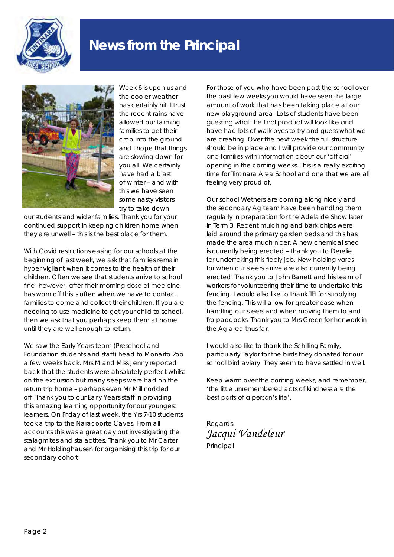

## **News from the Principal**



Week 6 is upon us and the cooler weather has certainly hit. I trust the recent rains have allowed our farming families to get their crop into the ground and I hope that things are slowing down for you all. We certainly have had a blast of winter – and with this we have seen some nasty visitors try to take down

our students and wider families. Thank you for your continued support in keeping children home when they are unwell – this is the best place for them.

With Covid restrictions easing for our schools at the beginning of last week, we ask that families remain hyper vigilant when it comes to the health of their children. Often we see that students arrive to school fine- however, after their morning dose of medicine has worn off this is often when we have to contact families to come and collect their children. If you are needing to use medicine to get your child to school, then we ask that you perhaps keep them at home until they are well enough to return.

We saw the Early Years team (Preschool and Foundation students and staff) head to Monarto Zoo a few weeks back. Mrs M and Miss Jenny reported back that the students were absolutely perfect whilst on the excursion but many sleeps were had on the return trip home – perhaps even Mr Mill nodded off! Thank you to our Early Years staff in providing this amazing learning opportunity for our youngest learners. On Friday of last week, the Yrs 7-10 students took a trip to the Naracoorte Caves. From all accounts this was a great day out investigating the stalagmites and stalactites. Thank you to Mr Carter and Mr Holdinghausen for organising this trip for our secondary cohort.

For those of you who have been past the school over the past few weeks you would have seen the large amount of work that has been taking place at our new playground area. Lots of students have been guessing what the final product will look like and have had lots of walk byes to try and guess what we are creating. Over the next week the full structure should be in place and I will provide our community and families with information about our 'official' opening in the coming weeks. This is a really exciting time for Tintinara Area School and one that we are all feeling very proud of.

Our school Wethers are coming along nicely and the secondary Ag team have been handling them regularly in preparation for the Adelaide Show later in Term 3. Recent mulching and bark chips were laid around the primary garden beds and this has made the area much nicer. A new chemical shed is currently being erected – thank you to Derelie for undertaking this fiddly job. New holding yards for when our steers arrive are also currently being erected. Thank you to John Barrett and his team of workers for volunteering their time to undertake this fencing. I would also like to thank TFI for supplying the fencing. This will allow for greater ease when handling our steers and when moving them to and fro paddocks. Thank you to Mrs Green for her work in the Ag area thus far.

I would also like to thank the Schilling Family, particularly Taylor for the birds they donated for our school bird aviary. They seem to have settled in well.

Keep warm over the coming weeks, and remember, 'the little unremembered acts of kindness are the best parts of a person's life'.

Regards *Jacqui Vandeleur* Principal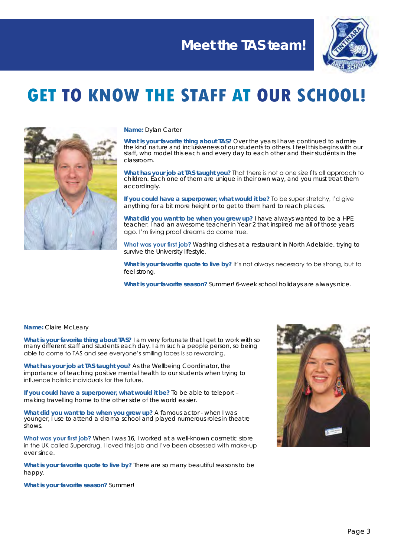

## **GET TO KNOW THE STAFF AT OUR SCHOOL!**



#### **Name:** Dylan Carter

**What is your favorite thing about TAS?** Over the years I have continued to admire the kind nature and inclusiveness of our students to others. I feel this begins with our staff, who model this each and every day to each other and their students in the classroom.

**What has your job at TAS taught you?** That there is not a one size fits all approach to children. Each one of them are unique in their own way, and you must treat them accordingly.

**If you could have a superpower, what would it be?** To be super stretchy, I'd give anything for a bit more height or to get to them hard to reach places.

**What did you want to be when you grew up?** I have always wanted to be a HPE teacher. I had an awesome teacher in Year 2 that inspired me all of those years ago. I'm living proof dreams do come true.

**What was your first job?** Washing dishes at a restaurant in North Adelaide, trying to survive the University lifestyle.

**What is your favorite quote to live by?** It's not always necessary to be strong, but to feel strong.

**What is your favorite season?** Summer! 6-week school holidays are always nice.

#### **Name:** Claire McLeary

**What is your favorite thing about TAS?** I am very fortunate that I get to work with so many different staff and students each day. I am such a people person, so being able to come to TAS and see everyone's smiling faces is so rewarding.

**What has your job at TAS taught you?** As the Wellbeing Coordinator, the importance of teaching positive mental health to our students when trying to influence holistic individuals for the future.

**If you could have a superpower, what would it be?** To be able to teleport – making travelling home to the other side of the world easier.

**What did you want to be when you grew up?** A famous actor - when I was younger, I use to attend a drama school and played numerous roles in theatre shows.

**What was your first job?** When I was 16, I worked at a well-known cosmetic store in the UK called Superdrug. I loved this job and I've been obsessed with make-up ever since.

**What is your favorite quote to live by?** There are so many beautiful reasons to be happy.

**What is your favorite season?** Summer!

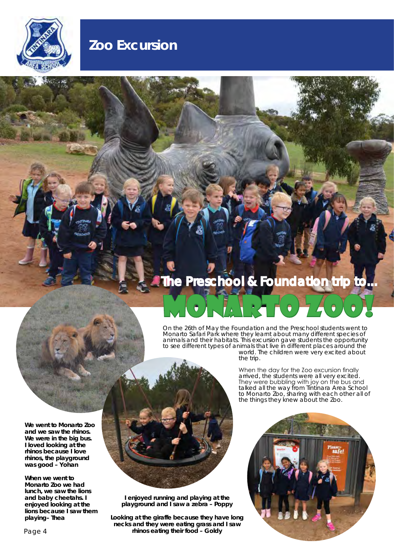

## **Zoo Excursion**

## **The Preschool & Foundation trip to..**

On the 26th of May the Foundation and the Preschool students went to Monarto Safari Park where they learnt about many different species of animals and their habitats. This excursion gave students the opportunity to see different types of animals that live in different places around the

the trip.

MONARTO 7400V

**We went to Monarto Zoo and we saw the rhinos. We were in the big bus. I loved looking at the rhinos because I love rhinos, the playground was good – Yohan**

**When we went to Monarto Zoo we had lunch, we saw the lions and baby cheetahs. I enjoyed looking at the lions because I saw them playing– Thea**



**I enjoyed running and playing at the playground and I saw a zebra – Poppy**

**Looking at the giraffe because they have long necks and they were eating grass and I saw rhinos eating their food – Goldy**

When the day for the Zoo excursion finally arrived, the students were all very excited. They were bubbling with joy on the bus and talked all the way from Tintinara Area School to Monarto Zoo, sharing with each other all of the things they knew about the Zoo.

world. The children were very excited about

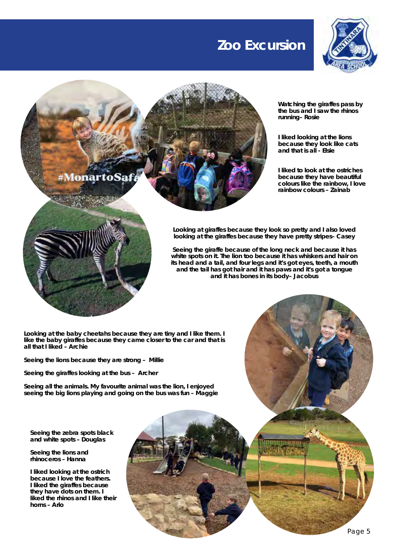#### **Zoo Excursion**



**Watching the giraffes pass by the bus and I saw the rhinos running– Rosie**

**I liked looking at the lions because they look like cats and that is all - Elsie**

**I liked to look at the ostriches because they have beautiful colours like the rainbow, I love rainbow colours – Zainab**

#Monar

**Looking at giraffes because they look so pretty and I also loved looking at the giraffes because they have pretty stripes– Casey**

**Seeing the giraffe because of the long neck and because it has white spots on it. The lion too because it has whiskers and hair on its head and a tail, and four legs and it's got eyes, teeth, a mouth and the tail has got hair and it has paws and it's got a tongue and it has bones in its body– Jacobus**

**Looking at the baby cheetahs because they are tiny and I like them. I like the baby giraffes because they came closer to the car and that is all that I liked – Archie**

**Seeing the lions because they are strong – Millie**

**Seeing the giraffes looking at the bus – Archer**

**Seeing all the animals. My favourite animal was the lion, I enjoyed seeing the big lions playing and going on the bus was fun – Maggie**

**Seeing the zebra spots black and white spots – Douglas**

**Seeing the lions and rhinoceros – Hanna**

**I liked looking at the ostrich because I love the feathers. I liked the giraffes because they have dots on them. I liked the rhinos and I like their horns – Arlo**

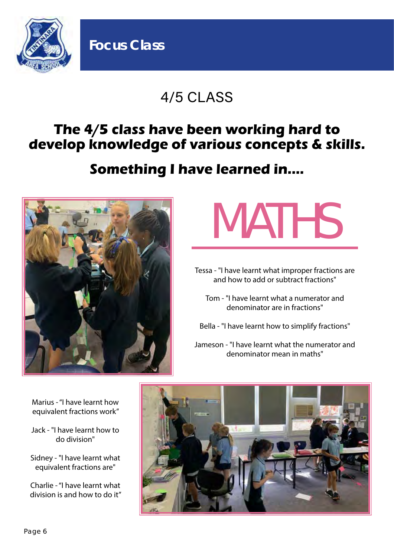

## 4/5 CLASS

## **The 4/5 class have been working hard to develop knowledge of various concepts & skills.**

## **Something I have learned in....**



**Focus Class**

# MATHS

Tessa - "I have learnt what improper fractions are and how to add or subtract fractions"

Tom - "I have learnt what a numerator and denominator are in fractions"

Bella - "I have learnt how to simplify fractions"

Jameson - "I have learnt what the numerator and denominator mean in maths"

Marius - "I have learnt how equivalent fractions work"

- Jack "I have learnt how to do division"
- Sidney "I have learnt what equivalent fractions are"

Charlie - "I have learnt what division is and how to do it"

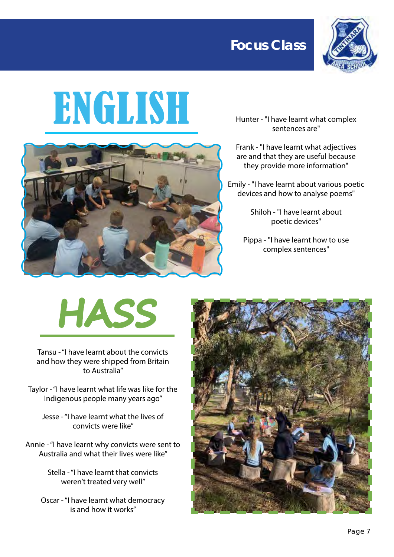



# ENGLISH



Hunter - "I have learnt what complex sentences are"

Frank - "I have learnt what adjectives are and that they are useful because they provide more information"

Emily - "I have learnt about various poetic devices and how to analyse poems"

> Shiloh - "I have learnt about poetic devices"

Pippa - "I have learnt how to use complex sentences"

# **HASS**

Tansu - "I have learnt about the convicts and how they were shipped from Britain to Australia"

Taylor - "I have learnt what life was like for the Indigenous people many years ago"

Jesse - "I have learnt what the lives of convicts were like"

Annie - "I have learnt why convicts were sent to Australia and what their lives were like"

> Stella - "I have learnt that convicts weren't treated very well"

Oscar - "I have learnt what democracy is and how it works"

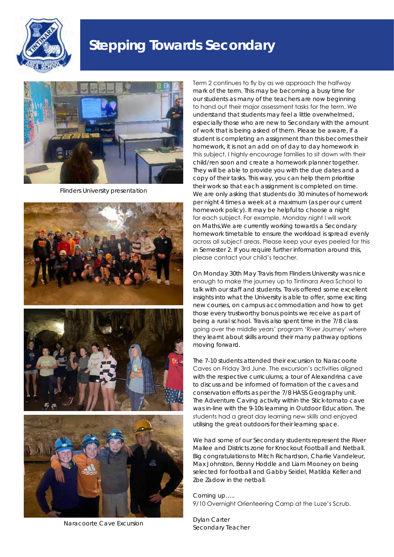

## **Stepping Towards Secondary**



Flinders University presentation







Naracoorte Cave Excursion

Term 2 continues to fly by as we approach the halfway mark of the term. This may be becoming a busy time for our students as many of the teachers are now beginning to hand out their major assessment tasks for the term. We understand that students may feel a little overwhelmed, especially those who are new to Secondary with the amount of work that is being asked of them. Please be aware, if a student is completing an assignment than this becomes their homework, it is not an add on of day to day homework in this subject. I highly encourage families to sit down with their child/ren soon and create a homework planner together. They will be able to provide you with the due dates and a copy of their tasks. This way, you can help them prioritise their work so that each assignment is completed on time. We are only asking that students do 30 minutes of homework per night 4 times a week at a maximum (as per our current homework policy). It may be helpful to choose a night for each subject. For example, Monday night I will work on Maths.We are currently working towards a Secondary homework timetable to ensure the workload is spread evenly across all subject areas. Please keep your eyes peeled for this in Semester 2. If you require further information around this, please contact your child's teacher.

On Monday 30th May Travis from Flinders University was nice enough to make the journey up to Tintinara Area School to talk with our staff and students. Travis offered some excellent insights into what the University is able to offer, some exciting new courses, on campus accommodation and how to get those every trustworthy bonus points we receive as part of being a rural school. Travis also spent time in the 7/8 class going over the middle years' program 'River Journey' where they learnt about skills around their many pathway options moving forward.

The 7-10 students attended their excursion to Naracoorte Caves on Friday 3rd June. The excursion's activities aligned with the respective curriculums; a tour of Alexandrina cave to discuss and be informed of formation of the caves and conservation efforts as per the 7/8 HASS Geography unit. The Adventure Caving activity within the Stick-tomato cave was in-line with the 9-10s learning in Outdoor Education. The students had a great day learning new skills and enjoyed utilising the great outdoors for their learning space.

We had some of our Secondary students represent the River Mallee and Districts zone for Knockout Football and Netball. Big congratulations to Mitch Richardson, Charlie Vandeleur, Max Johnston, Benny Hoddle and Liam Mooney on being selected for football and Gabby Seidel, Matilda Keller and Zoe Zadow in the netball.

Coming up….. 9/10 Overnight Orienteering Camp at the Luze's Scrub.

*Dylan Carter Secondary Teacher*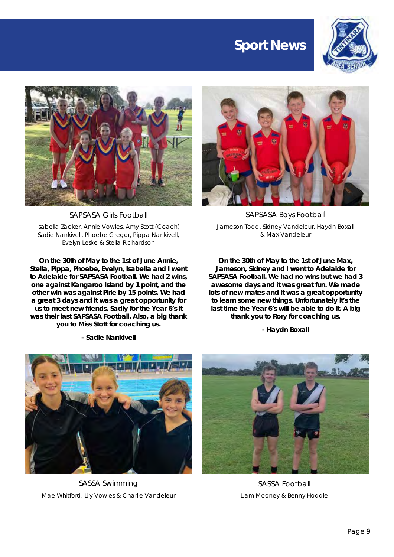## **Sport News**





SAPSASA Girls Football

*Isabella Zacker, Annie Vowles, Amy Stott (Coach) Sadie Nankivell, Phoebe Gregor, Pippa Nankivell, Evelyn Leske & Stella Richardson*

**On the 30th of May to the 1st of June Annie, Stella, Pippa, Phoebe, Evelyn, Isabella and I went to Adelaide for SAPSASA Football. We had 2 wins, one against Kangaroo Island by 1 point, and the other win was against Pirie by 15 points. We had a great 3 days and it was a great opportunity for us to meet new friends. Sadly for the Year 6's it was their last SAPSASA Football. Also, a big thank you to Miss Stott for coaching us.**

*- Sadie Nankivell*



SAPSASA Boys Football *Jameson Todd, Sidney Vandeleur, Haydn Boxall & Max Vandeleur*

**On the 30th of May to the 1st of June Max, Jameson, Sidney and I went to Adelaide for SAPSASA Football. We had no wins but we had 3 awesome days and it was great fun. We made lots of new mates and it was a great opportunity to learn some new things. Unfortunately it's the last time the Year 6's will be able to do it. A big thank you to Rory for coaching us.**

*- Haydn Boxall*



SASSA Swimming *Mae Whitford, Lily Vowles & Charlie Vandeleur*



SASSA Football *Liam Mooney & Benny Hoddle*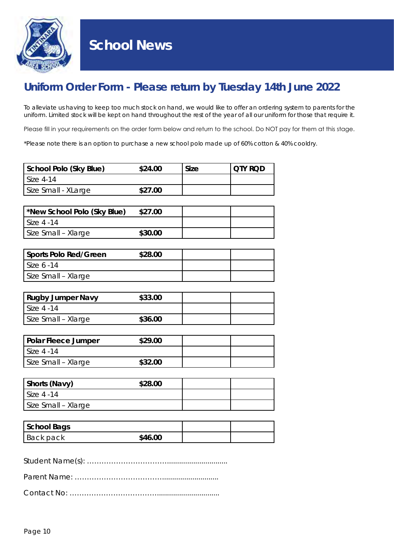

#### **School News**

#### **Uniform Order Form -** *Please return by Tuesday 14th June 2022*

To alleviate us having to keep too much stock on hand, we would like to offer an ordering system to parents for the uniform. Limited stock will be kept on hand throughout the rest of the year of all our uniform for those that require it.

Please fill in your requirements on the order form below and return to the school. Do NOT pay for them at this stage.

*\*Please note there is an option to purchase a new school polo made up of 60% cotton & 40% cooldry.*

| School Polo (Sky Blue) | \$24.00 | Size | I OTY ROD |
|------------------------|---------|------|-----------|
| <b>Size 4-14</b>       |         |      |           |
| Size Small - XLarge    | \$27.00 |      |           |

| *New School Polo (Sky Blue) | \$27.00 |  |
|-----------------------------|---------|--|
| l Size 4 -14                |         |  |
| Size Small - Xlarge         | \$30.00 |  |

| Sports Polo Red/Green | \$28.00 |  |
|-----------------------|---------|--|
| l Size 6 -14          |         |  |
| Size Small - Xlarge   |         |  |

| <b>Rugby Jumper Navy</b> | \$33.00 |  |
|--------------------------|---------|--|
| l Size 4 -14             |         |  |
| Size Small - Xlarge      | \$36.00 |  |

| Polar Fleece Jumper | \$29.00 |  |
|---------------------|---------|--|
| <b>Size 4 -14</b>   |         |  |
| Size Small - Xlarge | \$32.00 |  |

| Shorts (Navy)       | \$28.00 |  |
|---------------------|---------|--|
| l Size 4 -14        |         |  |
| Size Small - Xlarge |         |  |

| School Bags |         |  |
|-------------|---------|--|
| Back pack   | \$46.00 |  |

Student Name(s): ……………………………..............................

Parent Name: ………………………………............................

Contact No: ………………………………...............................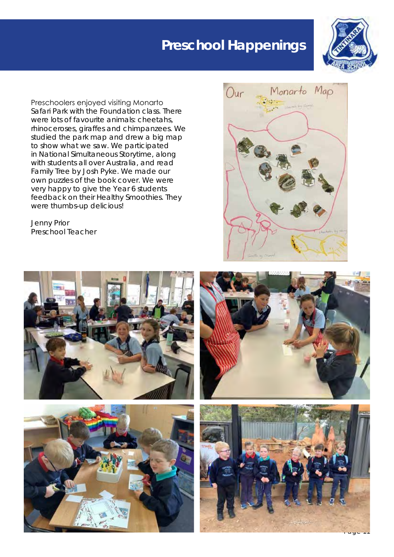## **Preschool Happenings**



Preschoolers enjoyed visiting Monarto Safari Park with the Foundation class. There were lots of favourite animals: cheetahs, rhinoceroses, giraffes and chimpanzees. We studied the park map and drew a big map to show what we saw. We participated in National Simultaneous Storytime, along with students all over Australia, and read Family Tree by Josh Pyke. We made our own puzzles of the book cover. We were very happy to give the Year 6 students feedback on their Healthy Smoothies. They were thumbs-up delicious!









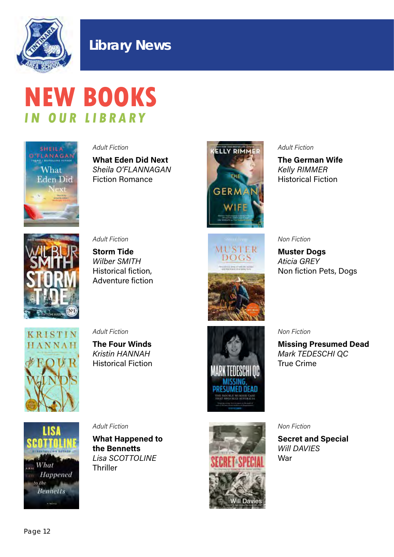

#### **Library News**

## **NEW BOOKS IN OUR LIBRARY**



Adult Fiction

What Eden Did Next Sheila O'FLANNAGAN Fiction Romance



#### Adult Fiction

The German Wife Kelly RIMMER Historical Fiction



Adult Fiction

Storm Tide Wilber SMITH Historical fiction, Adventure fiction



#### Non Fiction

Muster Dogs Aticia GREY Non fiction Pets, Dogs



Adult Fiction

The Four Winds Kristin HANNAH Historical Fiction



Non Fiction

Missing Presumed Dead Mark TEDESCHI QC True Crime



Adult Fiction

What Happened to the Bennetts Lisa SCOTTOLINE **Thriller** 



Non Fiction

Secret and Special Will DAVIES War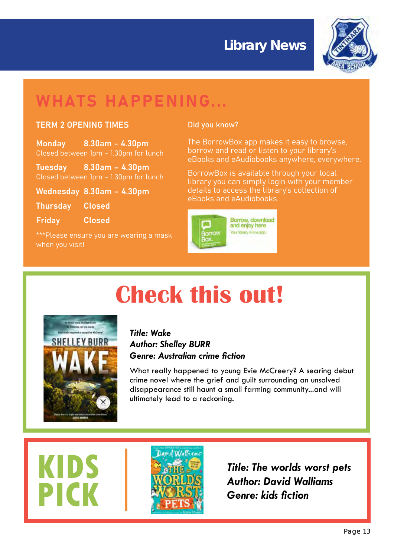## **Library News Library News**



## WHATS HAPPENING...

#### TERM 2 OPENING TIMES

Monday 8.30am - 4.30pm Closed between 1pm – 1.30pm for lunch

Tuesday 8.30am – 4.30pm Closed between 1pm – 1.30pm for lunch

Wednesday 8.30am – 4.30pm

Thursday Closed

Friday Closed

\*\*\*Please ensure you are wearing a mask when you visit!

#### Did you know?

The BorrowBox app makes it easy to browse, borrow and read or listen to your library's eBooks and eAudiobooks anywhere, everywhere.

BorrowBox is available through your local library you can simply login with your member details to access the library's collection of eBooks and eAudiobooks.



# **Check this out!**



**KIDS** 

**PICK**

#### *Title: Wake Author: Shelley BURR Genre: Australian crime fiction*

What really happened to young Evie McCreery? A searing debut crime novel where the grief and guilt surrounding an unsolved disappearance still haunt a small farming community...and will ultimately lead to a reckoning.



*Title: The worlds worst pets Author: David Walliams Genre: kids fiction*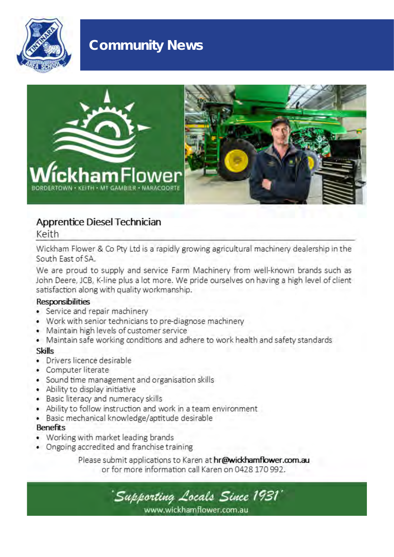

## **Community News**



#### Apprentice Diesel Technician

Keith

Wickham Flower & Co Pty Ltd is a rapidly growing agricultural machinery dealership in the South East of SA.

We are proud to supply and service Farm Machinery from well-known brands such as John Deere, JCB, K-line plus a lot more. We pride ourselves on having a high level of client satisfaction along with quality workmanship.

#### **Responsibilities**

- Service and repair machinery
- Work with senior technicians to pre-diagnose machinery
- Maintain high levels of customer service
- Maintain safe working conditions and adhere to work health and safety standards

#### **Skills**

- · Drivers licence desirable
- Computer literate
- Sound time management and organisation skills
- Ability to display initiative
- · Basic literacy and numeracy skills
- Ability to follow instruction and work in a team environment.
- · Basic mechanical knowledge/aptitude desirable

#### **Benefits**

- Working with market leading brands
- Ongoing accredited and franchise training

Please submit applications to Karen at hr@wickhamflower.com.au or for more information call Karen on 0428 170 992.

'Supporting Locals Since 1931' www.wickhamflower.com.au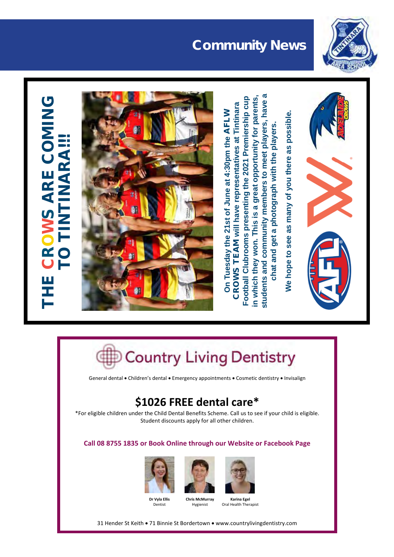

## **Community News Community News**

## **S ARE COMING** WS ARE COMING **TIMARAR!!!** TO TINTINARA!!! OR $\mathbf C$ THE



**students and community members to meet players, have a**  on Tuesday the 21st of June at 4:30pm the AFLW<br>CROWS TEAM will have representatives at Tintinara<br>Football Clubrooms presenting the 2021 Premiership cup<br>In which they won. This is a great opportunity for parents,<br>oral Healt G Football Clubrooms presenting the 2021 Premiership cup in which they won. This is a great opportunity for parents, students and community members to meet players, have **CROWS TEAM will have representatives at Tintinara** On Tuesday the 21st of June at 4:30pm the AFLW **chat and get a photograph with the players.**  chat and get a photograph with the players.

**We hope to see as many of you there as possible.**  We hope to see as many of you there as possible.



General dental • Children's dental • Emergency appointments • Cosmetic dentistry • Invisalign

## **\$1026 FREE dental care\***

\*For eligible children under the Child Dental Benefits Scheme. Call us to see if your child is eligible. Student discounts apply for all other children.

#### **Call 08 8755 1835 or Book Online through our Website or Facebook Page**



Dentist





**Karina Egel**<br>Oral Health Therapist

31 Hender St Keith . 71 Binnie St Bordertown . www.countrylivingdentistry.com

**Chris McMurray** Hygienist